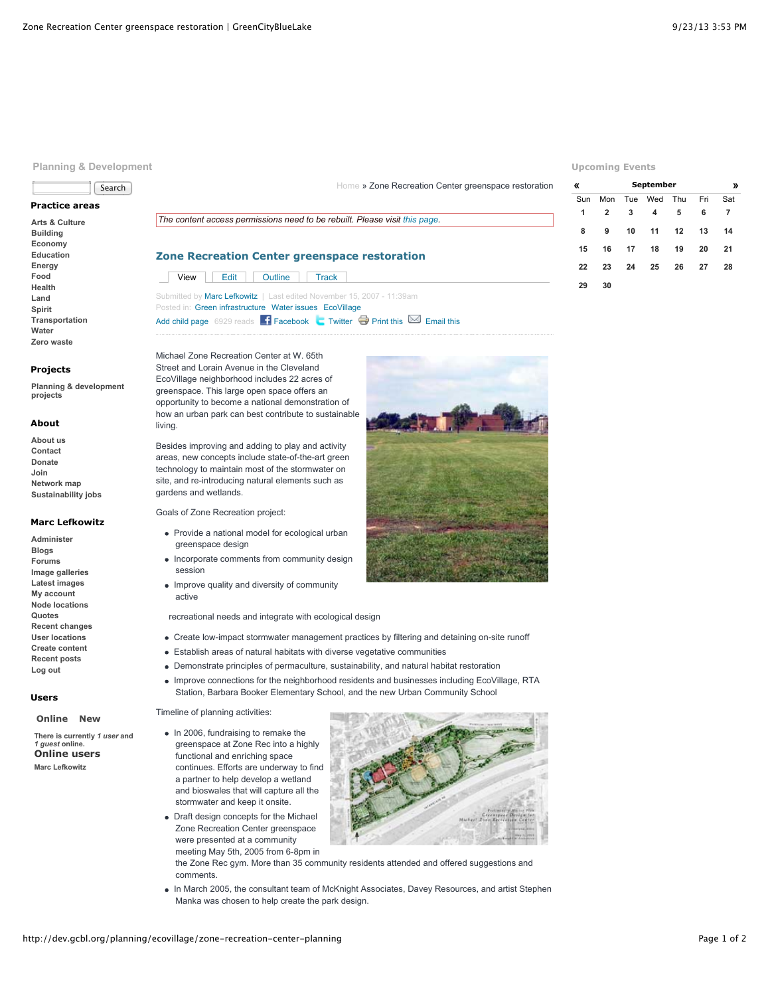# **Planning & Development**



# **Practice areas**

**[Arts & Culture](http://dev.gcbl.org/arts) [Building](http://dev.gcbl.org/building) [Economy](http://dev.gcbl.org/economy) [Education](http://dev.gcbl.org/education) [Energy](http://dev.gcbl.org/energy) [Food](http://dev.gcbl.org/food) [Health](http://dev.gcbl.org/health) [Land](http://dev.gcbl.org/land) [Spirit](http://dev.gcbl.org/spirit) [Transportation](http://dev.gcbl.org/transportation) [Water](http://dev.gcbl.org/water) [Zero waste](http://dev.gcbl.org/zero-waste)**

#### **Projects**

**[Planning & development](http://dev.gcbl.org/planning-development-projects) projects**

#### **About**

**[About us](http://dev.gcbl.org/about) [Contact](http://dev.gcbl.org/contact-us) [Donate](http://dev.gcbl.org/donate) [Join](http://dev.gcbl.org/join) [Network map](http://dev.gcbl.org/the-network) [Sustainability jobs](http://dev.gcbl.org/action-areas/jobs)**

### **Marc Lefkowitz**

**[Administer](http://dev.gcbl.org/admin) [Blogs](http://dev.gcbl.org/blog) [Forums](http://dev.gcbl.org/forum) [Image galleries](http://dev.gcbl.org/image) [Latest images](http://dev.gcbl.org/image/recent) [My account](http://dev.gcbl.org/user/marc-lefkowitz) [Node locations](http://dev.gcbl.org/map/node) [Quotes](http://dev.gcbl.org/quotes) [Recent changes](http://dev.gcbl.org/recent_changes) [User locations](http://dev.gcbl.org/map/user) [Create content](http://dev.gcbl.org/node/add) [Recent posts](http://dev.gcbl.org/tracker) [Log out](http://dev.gcbl.org/logout)**

# **Users**

#### **[Online](http://dev.gcbl.org/planning/ecovillage/zone-recreation-center-planning?quicktabs_2=0#quicktabs-2) [New](http://dev.gcbl.org/planning/ecovillage/zone-recreation-center-planning?quicktabs_2=1#quicktabs-2)**

**There is currently** *1 user* **and** *1 guest* **online. Online users [Marc Lefkowitz](http://dev.gcbl.org/user/marc-lefkowitz)**

# *The content access permissions need to be rebuilt. Please visit [this page.](http://dev.gcbl.org/admin/content/node-settings/rebuild)*

# **Zone Recreation Center greenspace restoration** [View](http://dev.gcbl.org/planning/ecovillage/zone-recreation-center-planning) [Edit](http://dev.gcbl.org/node/304/edit) [Outline](http://dev.gcbl.org/node/304/outline) [Track](http://dev.gcbl.org/node/304/track) Submitted by [Marc Lefkowitz](http://dev.gcbl.org/user/marc-lefkowitz) | Last edited November 15, 2007 - 11:39am Posted in: [Green infrastructure](http://dev.gcbl.org/action-areas/land/green-infrastructure) [Water issues](http://dev.gcbl.org/action-areas/water/water-issues) [EcoVillage](http://dev.gcbl.org/planning-development-projects/ecovillage)

[Add child page](http://dev.gcbl.org/node/add/book?parent=3082) 6929 reads  $\begin{array}{|c|c|c|c|c|}\n\hline\n\textbf{F} \textbf{a} \textbf{c} \textbf{b} \textbf{o} \textbf{b} & \textbf{c} \textbf{b} \textbf{c} \textbf{b} \textbf{c} & \textbf{d} \textbf{c} \textbf{b} \textbf{c} \textbf{d} \textbf{c} \textbf{d} \textbf{c} & \textbf{c} \textbf{b} \textbf{c} \textbf{d} \textbf{c} \textbf{d} \textbf{c} \textbf{d} \textbf{c} \$ 

Michael Zone Recreation Center at W. 65th Street and Lorain Avenue in the Cleveland EcoVillage neighborhood includes 22 acres of greenspace. This large open space offers an opportunity to become a national demonstration of how an urban park can best contribute to sustainable living.

Besides improving and adding to play and activity areas, new concepts include state-of-the-art green technology to maintain most of the stormwater on site, and re-introducing natural elements such as gardens and wetlands.

Goals of Zone Recreation project:

- Provide a national model for ecological urban greenspace design
- Incorporate comments from community design session
- Improve quality and diversity of community active

recreational needs and integrate with ecological design

- Create low-impact stormwater management practices by filtering and detaining on-site runoff
- Establish areas of natural habitats with diverse vegetative communities
- Demonstrate principles of permaculture, sustainability, and natural habitat restoration
- Improve connections for the neighborhood residents and businesses including EcoVillage, RTA Station, Barbara Booker Elementary School, and the new Urban Community School

#### Timeline of planning activities:

- In 2006, fundraising to remake the greenspace at Zone Rec into a highly functional and enriching space continues. Efforts are underway to find a partner to help develop a wetland and bioswales that will capture all the stormwater and keep it onsite.
- Draft design concepts for the Michael Zone Recreation Center greenspace were presented at a community meeting May 5th, 2005 from 6-8pm in



the Zone Rec gym. More than 35 community residents attended and offered suggestions and comments.

In March 2005, the consultant team of McKnight Associates, Davey Resources, and artist Stephen Manka was chosen to help create the park design.

#### **Upcoming Events**

| «   |     | September<br>» |         |     |     |     |
|-----|-----|----------------|---------|-----|-----|-----|
| Sun | Mon |                | Tue Wed | Thu | Fri | Sat |
| 1   | 2   | 3              | 4       | 5   | 6   | 7   |
| 8   | 9   | 10             | 11      | 12  | 13  | 14  |
| 15  | 16  | 17             | 18      | 19  | 20  | 21  |
| 22  | 23  | 24             | 25      | 26  | 27  | 28  |
| 29  | 30  |                |         |     |     |     |



[Home](http://dev.gcbl.org/) » Zone Recreation Center greenspace restoration